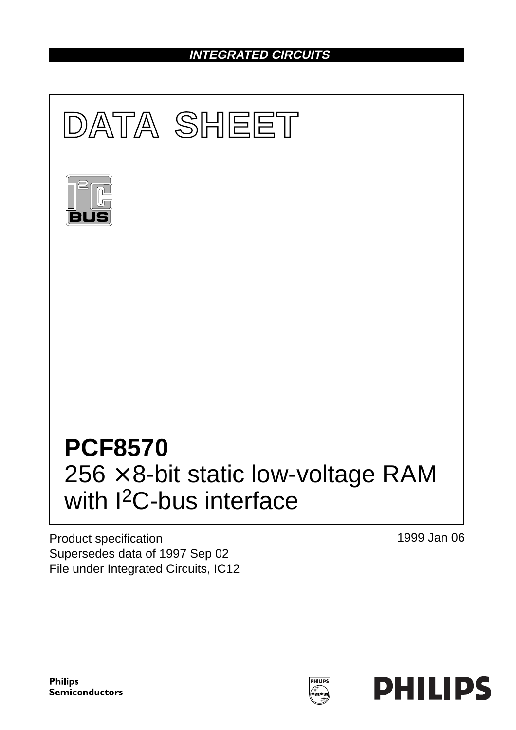# **INTEGRATED CIRCUITS**



Product specification Supersedes data of 1997 Sep 02 File under Integrated Circuits, IC12 1999 Jan 06

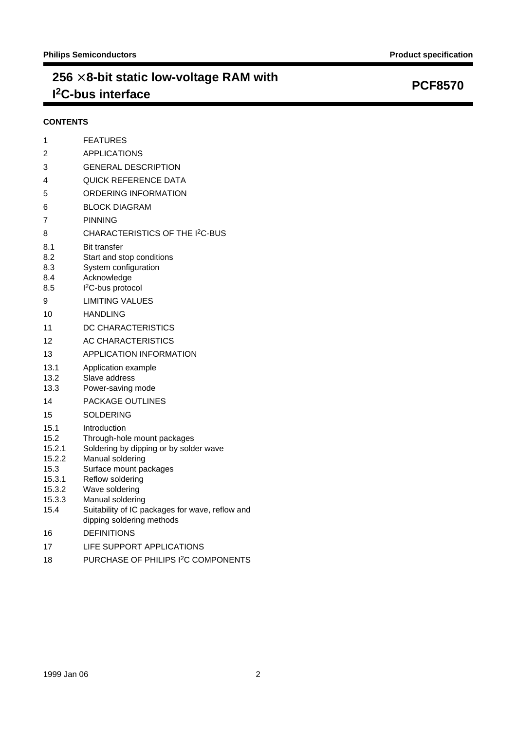# **256** × **8-bit static low-voltage RAM with I 2C-bus interface PCF8570**

## **CONTENTS**

| 1                                                                              | <b>FEATURES</b>                                                                                                                                                                                                                                                               |
|--------------------------------------------------------------------------------|-------------------------------------------------------------------------------------------------------------------------------------------------------------------------------------------------------------------------------------------------------------------------------|
| 2                                                                              | <b>APPLICATIONS</b>                                                                                                                                                                                                                                                           |
| 3                                                                              | <b>GENERAL DESCRIPTION</b>                                                                                                                                                                                                                                                    |
| 4                                                                              | <b>QUICK REFERENCE DATA</b>                                                                                                                                                                                                                                                   |
| 5                                                                              | ORDERING INFORMATION                                                                                                                                                                                                                                                          |
| 6                                                                              | <b>BLOCK DIAGRAM</b>                                                                                                                                                                                                                                                          |
| 7                                                                              | <b>PINNING</b>                                                                                                                                                                                                                                                                |
| 8                                                                              | CHARACTERISTICS OF THE I <sup>2</sup> C-BUS                                                                                                                                                                                                                                   |
| 8.1<br>8.2<br>8.3<br>8.4<br>8.5                                                | <b>Bit transfer</b><br>Start and stop conditions<br>System configuration<br>Acknowledge<br>I <sup>2</sup> C-bus protocol                                                                                                                                                      |
| 9                                                                              | <b>LIMITING VALUES</b>                                                                                                                                                                                                                                                        |
| 10                                                                             | <b>HANDLING</b>                                                                                                                                                                                                                                                               |
| 11                                                                             | DC CHARACTERISTICS                                                                                                                                                                                                                                                            |
| 12                                                                             | AC CHARACTERISTICS                                                                                                                                                                                                                                                            |
| 13                                                                             | <b>APPLICATION INFORMATION</b>                                                                                                                                                                                                                                                |
| 13.1<br>13.2<br>13.3                                                           | Application example<br>Slave address<br>Power-saving mode                                                                                                                                                                                                                     |
| 14                                                                             | PACKAGE OUTLINES                                                                                                                                                                                                                                                              |
| 15                                                                             | <b>SOLDERING</b>                                                                                                                                                                                                                                                              |
| 15.1<br>15.2<br>15.2.1<br>15.2.2<br>15.3<br>15.3.1<br>15.3.2<br>15.3.3<br>15.4 | Introduction<br>Through-hole mount packages<br>Soldering by dipping or by solder wave<br>Manual soldering<br>Surface mount packages<br>Reflow soldering<br>Wave soldering<br>Manual soldering<br>Suitability of IC packages for wave, reflow and<br>dipping soldering methods |
| 16                                                                             | <b>DEFINITIONS</b>                                                                                                                                                                                                                                                            |

- 17 LIFE SUPPORT APPLICATIONS
- 18 PURCHASE OF PHILIPS I<sup>2</sup>C COMPONENTS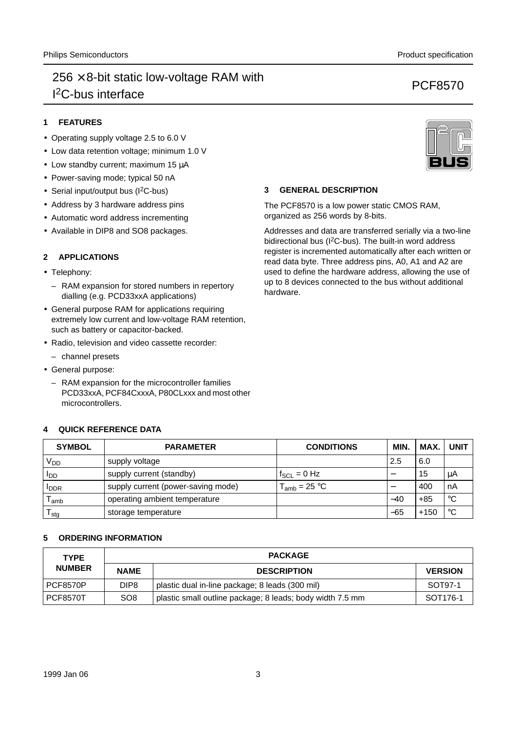## **1 FEATURES**

- Operating supply voltage 2.5 to 6.0 V
- Low data retention voltage; minimum 1.0 V
- Low standby current; maximum 15 µA
- Power-saving mode; typical 50 nA
- Serial input/output bus (I<sup>2</sup>C-bus)
- Address by 3 hardware address pins
- Automatic word address incrementing
- Available in DIP8 and SO8 packages.

### **2 APPLICATIONS**

- Telephony:
	- RAM expansion for stored numbers in repertory dialling (e.g. PCD33xxA applications)
- General purpose RAM for applications requiring extremely low current and low-voltage RAM retention, such as battery or capacitor-backed.
- Radio, television and video cassette recorder:
	- channel presets
- General purpose:
	- RAM expansion for the microcontroller families PCD33xxA, PCF84CxxxA, P80CLxxx and most other microcontrollers.

## **4 QUICK REFERENCE DATA**

| <b>SYMBOL</b>         | <b>PARAMETER</b>                   | <b>CONDITIONS</b> | MIN.  | MAX.   | <b>UNIT</b> |
|-----------------------|------------------------------------|-------------------|-------|--------|-------------|
| <b>V<sub>DD</sub></b> | supply voltage                     |                   | 2.5   | 6.0    |             |
| <b>I</b> DD           | supply current (standby)           | $t_{SCL} = 0$ Hz  |       | 15     | μA          |
| <b>I</b> DDR          | supply current (power-saving mode) | $T_{amb}$ = 25 °C |       | 400    | nA          |
| l amb                 | operating ambient temperature      |                   | $-40$ | $+85$  | °C          |
| stg                   | storage temperature                |                   | $-65$ | $+150$ | °C          |

### **5 ORDERING INFORMATION**

| <b>TYPE</b>     |                  | <b>PACKAGE</b>                                            |                      |  |  |  |  |  |
|-----------------|------------------|-----------------------------------------------------------|----------------------|--|--|--|--|--|
| <b>NUMBER</b>   | <b>NAME</b>      | <b>DESCRIPTION</b>                                        | <b>VERSION</b>       |  |  |  |  |  |
| <b>PCF8570P</b> | DIP <sub>8</sub> | plastic dual in-line package; 8 leads (300 mil)           | SOT97-1              |  |  |  |  |  |
| <b>PCF8570T</b> | SO <sub>8</sub>  | plastic small outline package; 8 leads; body width 7.5 mm | SOT <sub>176-1</sub> |  |  |  |  |  |



### **3 GENERAL DESCRIPTION**

The PCF8570 is a low power static CMOS RAM, organized as 256 words by 8-bits.

Addresses and data are transferred serially via a two-line bidirectional bus (I<sup>2</sup>C-bus). The built-in word address register is incremented automatically after each written or read data byte. Three address pins, A0, A1 and A2 are used to define the hardware address, allowing the use of up to 8 devices connected to the bus without additional hardware.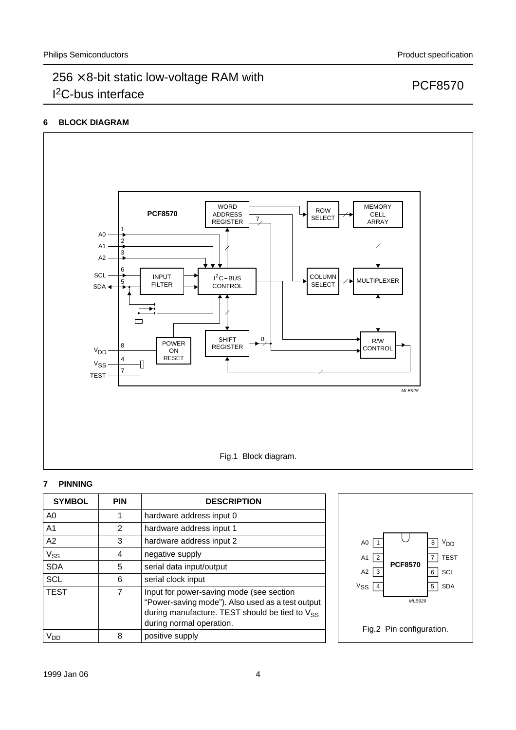## **6 BLOCK DIAGRAM**



## **7 PINNING**

| <b>SYMBOL</b>   | <b>PIN</b> | <b>DESCRIPTION</b>                                                                                                                                                              |
|-----------------|------------|---------------------------------------------------------------------------------------------------------------------------------------------------------------------------------|
| A <sub>0</sub>  |            | hardware address input 0                                                                                                                                                        |
| A <sub>1</sub>  | 2          | hardware address input 1                                                                                                                                                        |
| A2              | 3          | hardware address input 2                                                                                                                                                        |
| $V_{SS}$        | 4          | negative supply                                                                                                                                                                 |
| <b>SDA</b>      | 5          | serial data input/output                                                                                                                                                        |
| <b>SCL</b>      | 6          | serial clock input                                                                                                                                                              |
| <b>TEST</b>     | 7          | Input for power-saving mode (see section<br>"Power-saving mode"). Also used as a test output<br>during manufacture. TEST should be tied to $V_{SS}$<br>during normal operation. |
| $V_{\text{DD}}$ | 8          | positive supply                                                                                                                                                                 |

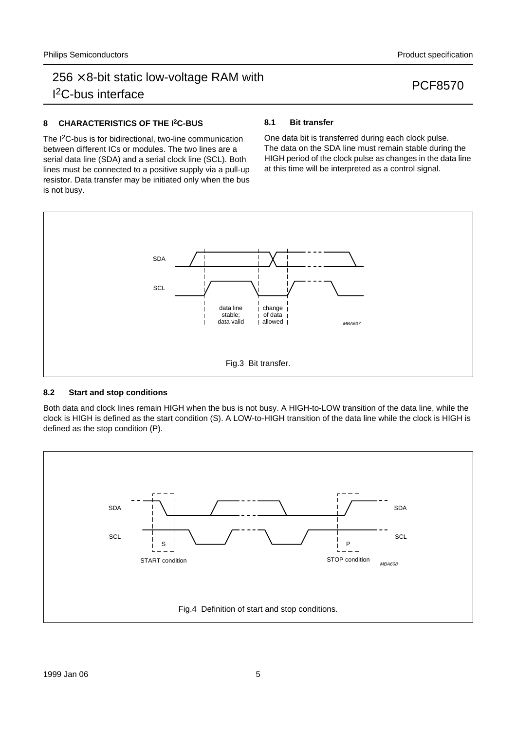## **8 CHARACTERISTICS OF THE I2C-BUS**

The I2C-bus is for bidirectional, two-line communication between different ICs or modules. The two lines are a serial data line (SDA) and a serial clock line (SCL). Both lines must be connected to a positive supply via a pull-up resistor. Data transfer may be initiated only when the bus is not busy.

### **8.1 Bit transfer**

One data bit is transferred during each clock pulse. The data on the SDA line must remain stable during the HIGH period of the clock pulse as changes in the data line at this time will be interpreted as a control signal.



### **8.2 Start and stop conditions**

Both data and clock lines remain HIGH when the bus is not busy. A HIGH-to-LOW transition of the data line, while the clock is HIGH is defined as the start condition (S). A LOW-to-HIGH transition of the data line while the clock is HIGH is defined as the stop condition (P).

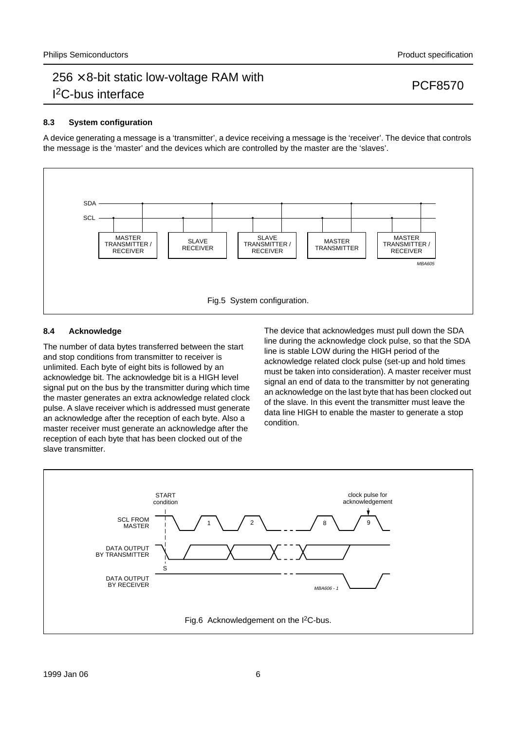### **8.3 System configuration**

A device generating a message is a 'transmitter', a device receiving a message is the 'receiver'. The device that controls the message is the 'master' and the devices which are controlled by the master are the 'slaves'.



### **8.4 Acknowledge**

The number of data bytes transferred between the start and stop conditions from transmitter to receiver is unlimited. Each byte of eight bits is followed by an acknowledge bit. The acknowledge bit is a HIGH level signal put on the bus by the transmitter during which time the master generates an extra acknowledge related clock pulse. A slave receiver which is addressed must generate an acknowledge after the reception of each byte. Also a master receiver must generate an acknowledge after the reception of each byte that has been clocked out of the slave transmitter.

The device that acknowledges must pull down the SDA line during the acknowledge clock pulse, so that the SDA line is stable LOW during the HIGH period of the acknowledge related clock pulse (set-up and hold times must be taken into consideration). A master receiver must signal an end of data to the transmitter by not generating an acknowledge on the last byte that has been clocked out of the slave. In this event the transmitter must leave the data line HIGH to enable the master to generate a stop condition.

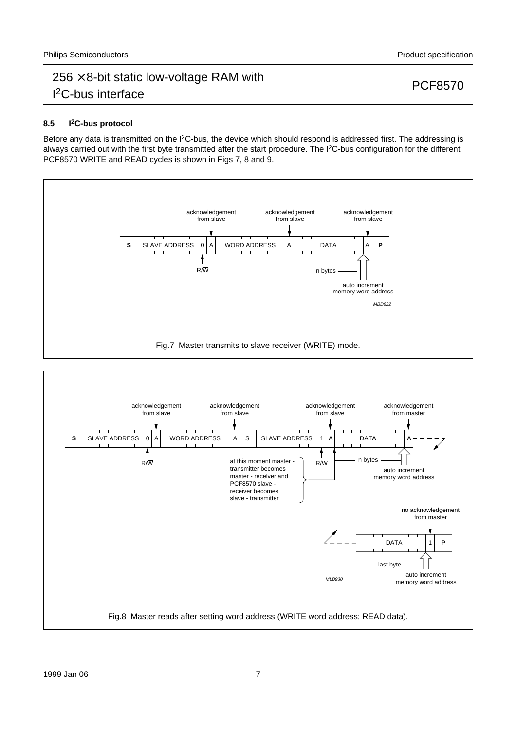## **8.5 I2C-bus protocol**

Before any data is transmitted on the I<sup>2</sup>C-bus, the device which should respond is addressed first. The addressing is always carried out with the first byte transmitted after the start procedure. The I<sup>2</sup>C-bus configuration for the different PCF8570 WRITE and READ cycles is shown in Figs 7, 8 and 9.



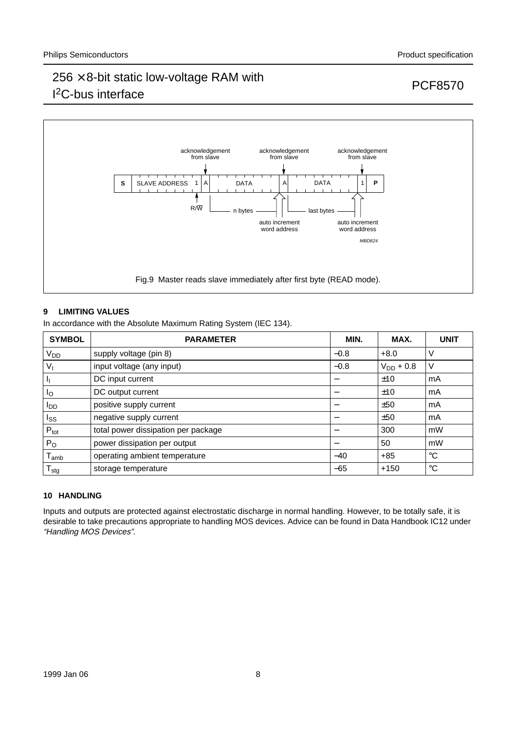## Fig.9 Master reads slave immediately after first byte (READ mode). and book, full pagewidth **S**  $\begin{bmatrix}$  SLAVE ADDRESS 1  $\begin{bmatrix} A \end{bmatrix}$  DATA  $\begin{bmatrix} A \end{bmatrix}$  DATA  $\begin{bmatrix} 1 \end{bmatrix}$ acknowledgement from slave acknowledgement from slave acknowledgement from slave R/W auto increment word address MBD824 auto increment word address n bytes  $\begin{array}{c|c} \hline \end{array}$  |  $\begin{array}{c} \hline \end{array}$  last bytes **P**

## **9 LIMITING VALUES**

In accordance with the Absolute Maximum Rating System (IEC 134).

| <b>SYMBOL</b>               | <b>PARAMETER</b>                    | MIN.   | MAX.           | <b>UNIT</b>     |
|-----------------------------|-------------------------------------|--------|----------------|-----------------|
| V <sub>DD</sub>             | supply voltage (pin 8)              | $-0.8$ | $+8.0$         | V               |
| $V_{I}$                     | input voltage (any input)           | $-0.8$ | $V_{DD} + 0.8$ | V               |
| -lj                         | DC input current                    |        | ±10            | mA              |
| $I_{\rm O}$                 | DC output current                   |        | ±10            | mA              |
| l <sub>DD</sub>             | positive supply current             |        | ±50            | mA              |
| Iss                         | negative supply current             |        | ±50            | mA              |
| $P_{\text{tot}}$            | total power dissipation per package |        | 300            | mW              |
| $P_{\rm O}$                 | power dissipation per output        |        | 50             | mW              |
| $\mathsf{T}_{\mathsf{amb}}$ | operating ambient temperature       | $-40$  | $+85$          | $\rm ^{\circ}C$ |
| ${\mathsf T}_{\text{stg}}$  | storage temperature                 | $-65$  | $+150$         | $^{\circ}C$     |

## **10 HANDLING**

Inputs and outputs are protected against electrostatic discharge in normal handling. However, to be totally safe, it is desirable to take precautions appropriate to handling MOS devices. Advice can be found in Data Handbook IC12 under "Handling MOS Devices".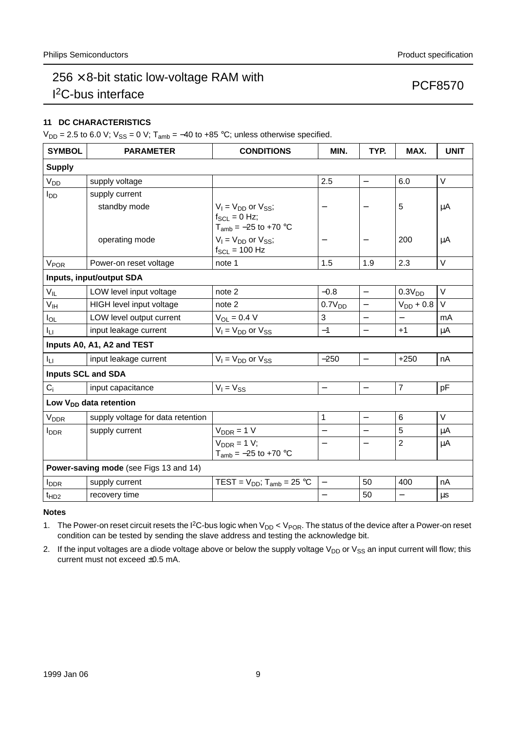## **11 DC CHARACTERISTICS**

 $V_{DD}$  = 2.5 to 6.0 V;  $V_{SS}$  = 0 V; T<sub>amb</sub> = -40 to +85 °C; unless otherwise specified.

| <b>SYMBOL</b>             | <b>PARAMETER</b>                       | <b>CONDITIONS</b>                                                              | MIN.                     | TYP.                     | MAX.                     | <b>UNIT</b> |
|---------------------------|----------------------------------------|--------------------------------------------------------------------------------|--------------------------|--------------------------|--------------------------|-------------|
| <b>Supply</b>             |                                        |                                                                                |                          |                          |                          |             |
| $V_{DD}$                  | supply voltage                         |                                                                                | 2.5                      | $\qquad \qquad -$        | 6.0                      | V           |
| l <sub>DD</sub>           | supply current                         |                                                                                |                          |                          |                          |             |
|                           | standby mode                           | $V_1 = V_{DD}$ or $V_{SS}$ ;<br>$f_{SCL} = 0$ Hz;<br>$T_{amb} = -25$ to +70 °C |                          | $\qquad \qquad -$        | 5                        | μA          |
|                           | operating mode                         | $V_1 = V_{DD}$ or $V_{SS}$ ;<br>$f_{SCL}$ = 100 Hz                             | $\overline{\phantom{0}}$ | $\overline{\phantom{m}}$ | 200                      | μA          |
| <b>V<sub>POR</sub></b>    | Power-on reset voltage                 | note 1                                                                         | 1.5                      | 1.9                      | 2.3                      | $\vee$      |
|                           | Inputs, input/output SDA               |                                                                                |                          |                          |                          |             |
| $V_{IL}$                  | LOW level input voltage                | note 2                                                                         | $-0.8$                   | $\overline{\phantom{0}}$ | 0.3V <sub>DD</sub>       | $\vee$      |
| V <sub>IH</sub>           | HIGH level input voltage               | note 2                                                                         | 0.7V <sub>DD</sub>       |                          | $V_{DD}$ + 0.8           | $\vee$      |
| $I_{OL}$                  | LOW level output current               | $V_{OL} = 0.4 V$                                                               | 3                        | $\overline{\phantom{0}}$ | $\overline{\phantom{0}}$ | mA          |
| Iц                        | input leakage current                  | $V_1 = V_{DD}$ or $V_{SS}$                                                     | $-1$                     | $\overline{\phantom{0}}$ | $+1$                     | $\mu$ A     |
|                           | Inputs A0, A1, A2 and TEST             |                                                                                |                          |                          |                          |             |
| Iц                        | input leakage current                  | $V_1 = V_{DD}$ or $V_{SS}$                                                     | $-250$                   | $\overline{\phantom{0}}$ | $+250$                   | nA          |
| <b>Inputs SCL and SDA</b> |                                        |                                                                                |                          |                          |                          |             |
| $C_i$                     | input capacitance                      | $V_1 = V_{SS}$                                                                 | $\overline{\phantom{0}}$ | $\equiv$                 | $\overline{7}$           | pF          |
|                           | Low V <sub>DD</sub> data retention     |                                                                                |                          |                          |                          |             |
| <b>V<sub>DDR</sub></b>    | supply voltage for data retention      |                                                                                | 1                        | $\overline{\phantom{0}}$ | 6                        | $\vee$      |
| <b>I</b> <sub>DDR</sub>   | supply current                         | $V_{\text{DDR}} = 1 V$                                                         | $\overline{\phantom{0}}$ | $\overline{\phantom{0}}$ | 5                        | μA          |
|                           |                                        | $V_{\text{DDR}} = 1 V$ ;<br>$T_{amb} = -25$ to +70 °C                          |                          |                          | $\overline{2}$           | μA          |
|                           | Power-saving mode (see Figs 13 and 14) |                                                                                |                          |                          |                          |             |
| <b>I</b> <sub>DDR</sub>   | supply current                         | TEST = $V_{DD}$ ; T <sub>amb</sub> = 25 °C                                     |                          | 50                       | 400                      | nA          |
| t <sub>HD2</sub>          | recovery time                          |                                                                                |                          | 50                       | $\overline{\phantom{0}}$ | μs          |

### **Notes**

1. The Power-on reset circuit resets the I<sup>2</sup>C-bus logic when  $V_{DD}$  <  $V_{POR}$ . The status of the device after a Power-on reset condition can be tested by sending the slave address and testing the acknowledge bit.

2. If the input voltages are a diode voltage above or below the supply voltage  $V_{DD}$  or  $V_{SS}$  an input current will flow; this current must not exceed ±0.5 mA.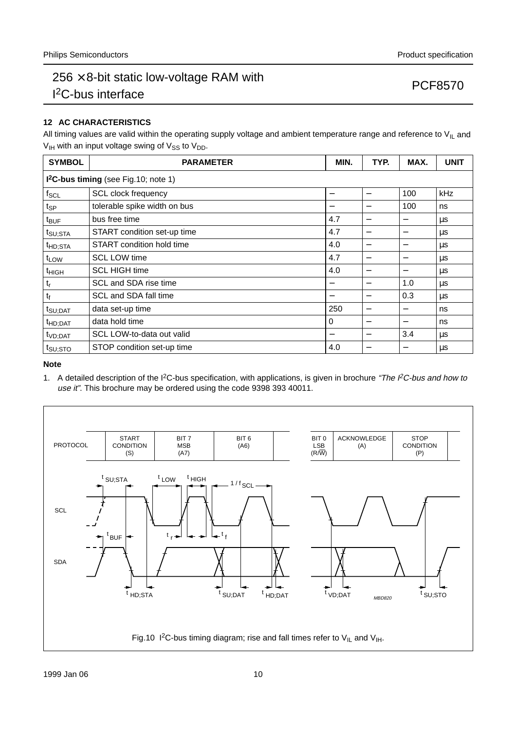# **12 AC CHARACTERISTICS**

All timing values are valid within the operating supply voltage and ambient temperature range and reference to  $V_{IL}$  and  $V_{IH}$  with an input voltage swing of  $V_{SS}$  to  $V_{DD}$ .

| <b>SYMBOL</b>       | <b>PARAMETER</b>                                 | MIN.                   | TYP. | MAX.                             | <b>UNIT</b> |  |  |  |  |
|---------------------|--------------------------------------------------|------------------------|------|----------------------------------|-------------|--|--|--|--|
|                     | I <sup>2</sup> C-bus timing (see Fig.10; note 1) |                        |      |                                  |             |  |  |  |  |
| $f_{\text{SCL}}$    | SCL clock frequency                              | -                      | —    | 100                              | kHz         |  |  |  |  |
| t <sub>SP</sub>     | tolerable spike width on bus                     | —                      | -    | 100                              | ns          |  |  |  |  |
| $t_{\text{BUF}}$    | bus free time                                    | 4.7                    |      | $\overline{\phantom{m}}$         | μs          |  |  |  |  |
| $t_{\text{SU;STA}}$ | START condition set-up time                      | 4.7                    | —    |                                  | μs          |  |  |  |  |
| t <sub>HD;STA</sub> | START condition hold time                        | 4.0                    | —    | -                                | μs          |  |  |  |  |
| t <sub>LOW</sub>    | <b>SCL LOW time</b>                              | 4.7                    | —    | —                                | μs          |  |  |  |  |
| <sup>t</sup> HIGH   | <b>SCL HIGH time</b>                             | 4.0                    | —    |                                  | μs          |  |  |  |  |
| $t_r$               | SCL and SDA rise time                            | $\qquad \qquad \qquad$ | —    | 1.0                              | μs          |  |  |  |  |
| $t_f$               | SCL and SDA fall time                            | —                      | —    | 0.3                              | μs          |  |  |  |  |
| $t_{\text{SU;DAT}}$ | data set-up time                                 | 250                    | —    |                                  | ns          |  |  |  |  |
| t <sub>HD;DAT</sub> | data hold time                                   | 0                      | —    | $\overbrace{\phantom{12322111}}$ | ns          |  |  |  |  |
| t <sub>VD;DAT</sub> | SCL LOW-to-data out valid                        | $\qquad \qquad$        | —    | 3.4                              | μs          |  |  |  |  |
| $t_{\text{SU;STO}}$ | STOP condition set-up time                       | 4.0                    | -    |                                  | μs          |  |  |  |  |

## **Note**

1. A detailed description of the I<sup>2</sup>C-bus specification, with applications, is given in brochure "The  $PC$ -bus and how to use it". This brochure may be ordered using the code 9398 393 40011.

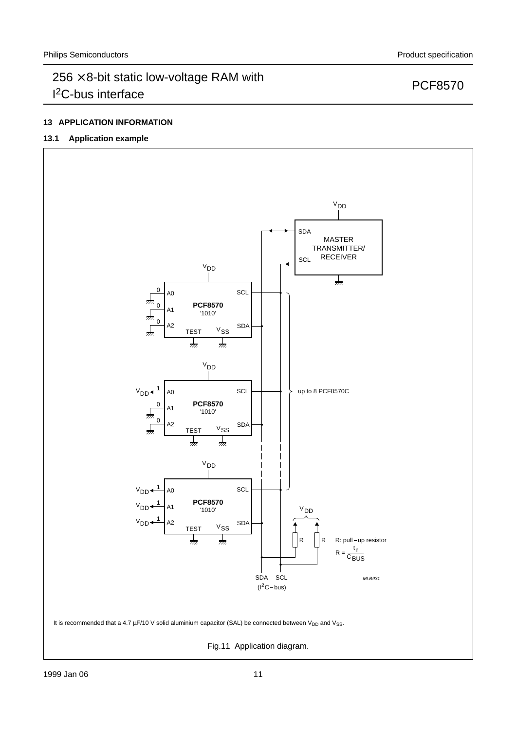## **13 APPLICATION INFORMATION**

## **13.1 Application example**

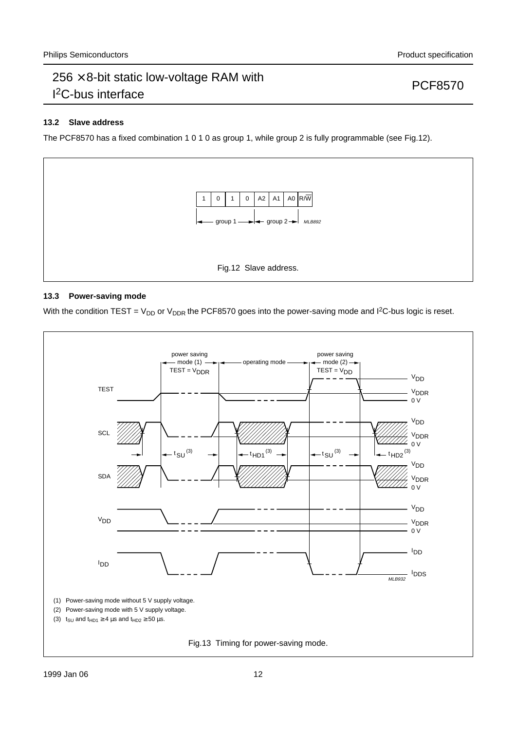# **13.2 Slave address**

The PCF8570 has a fixed combination 1 0 1 0 as group 1, while group 2 is fully programmable (see Fig.12).



## **13.3 Power-saving mode**

With the condition TEST =  $V_{DD}$  or  $V_{DDR}$  the PCF8570 goes into the power-saving mode and I<sup>2</sup>C-bus logic is reset.

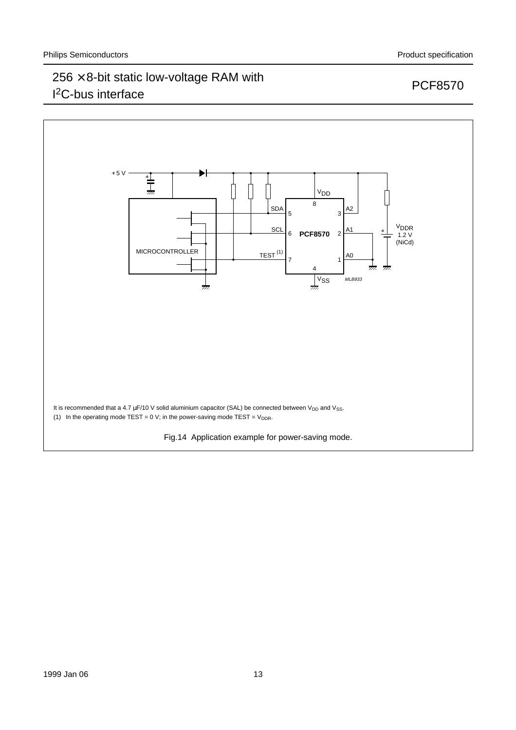## $+5V$  $\begin{array}{c}\n\uparrow \\
\hline\n\downarrow\n\end{array}$ Ы  $\mathsf{I}$ V<sub>DD</sub> 8 SDA A2 5 3 V<sub>DDR</sub> **SCL** A1 6 **PCF8570** 2 1.2 V (NiCd) MICROCONTROLLER TEST <sup>(1)</sup> A0 7 1  $\frac{1}{\sqrt{2}}$ 4  $\sqrt{\frac{v_{SS}}{m}}$ MLB933 It is recommended that a 4.7  $\mu$ F/10 V solid aluminium capacitor (SAL) be connected between V<sub>DD</sub> and V<sub>SS</sub>. (1) In the operating mode TEST = 0 V; in the power-saving mode TEST =  $V_{\text{DDR}}$ . Fig.14 Application example for power-saving mode.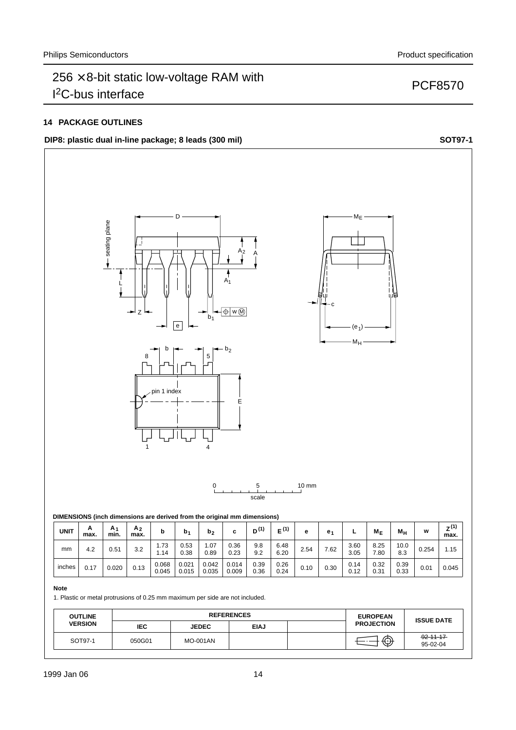## **14 PACKAGE OUTLINES**

# **DIP8:** plastic dual in-line package; 8 leads (300 mil) **SOT97-1 SOT97-1**



| <b>UNIT</b> | A<br>max. | A۰<br>min. | A <sub>2</sub><br>max. |                | b,             | b <sub>2</sub> | с              | $D^{(1)}$    | $E^{(1)}$    | е    | e <sub>1</sub> |              | $M_F$        | $M_H$        | w     | $Z^{(1)}$<br>max. |
|-------------|-----------|------------|------------------------|----------------|----------------|----------------|----------------|--------------|--------------|------|----------------|--------------|--------------|--------------|-------|-------------------|
| mm          | 4.2       | 0.51       | 3.2                    | l.73<br>.14    | 0.53<br>0.38   | 1.07<br>0.89   | 0.36<br>0.23   | 9.8<br>9.2   | 6.48<br>6.20 | 2.54 | 7.62           | 3.60<br>3.05 | 8.25<br>7.80 | 10.0<br>8.3  | 0.254 | .15               |
| inches      | 0.17      | 0.020      | 0.13                   | 0.068<br>0.045 | 0.021<br>0.015 | 0.042<br>0.035 | 0.014<br>0.009 | 0.39<br>0.36 | 0.26<br>0.24 | 0.10 | 0.30           | 0.14<br>0.12 | 0.32<br>0.31 | 0.39<br>0.33 | 0.01  | 0.045             |

### **Note**

1. Plastic or metal protrusions of 0.25 mm maximum per side are not included.

| <b>OUTLINE</b> |            |                 | <b>REFERENCES</b> | <b>EUROPEAN</b>   | <b>ISSUE DATE</b>           |  |
|----------------|------------|-----------------|-------------------|-------------------|-----------------------------|--|
| <b>VERSION</b> | <b>IEC</b> | <b>JEDEC</b>    | <b>EIAJ</b>       | <b>PROJECTION</b> |                             |  |
| SOT97-1        | 050G01     | <b>MO-001AN</b> |                   | ⊕                 | $-92 - 11 - 17$<br>95-02-04 |  |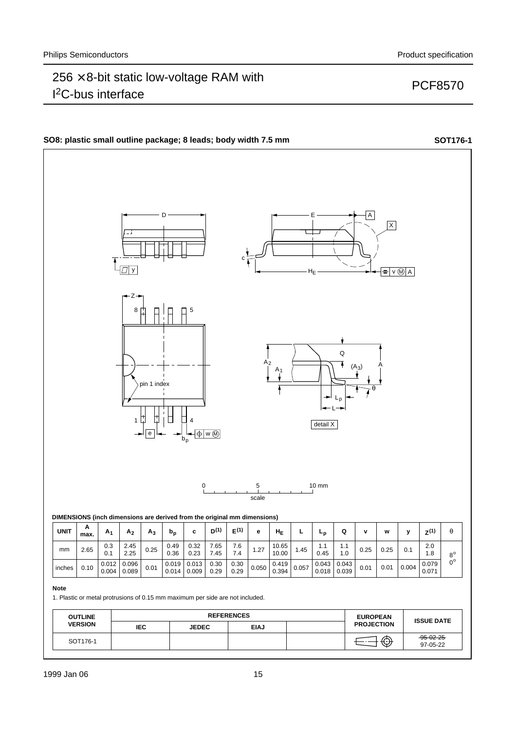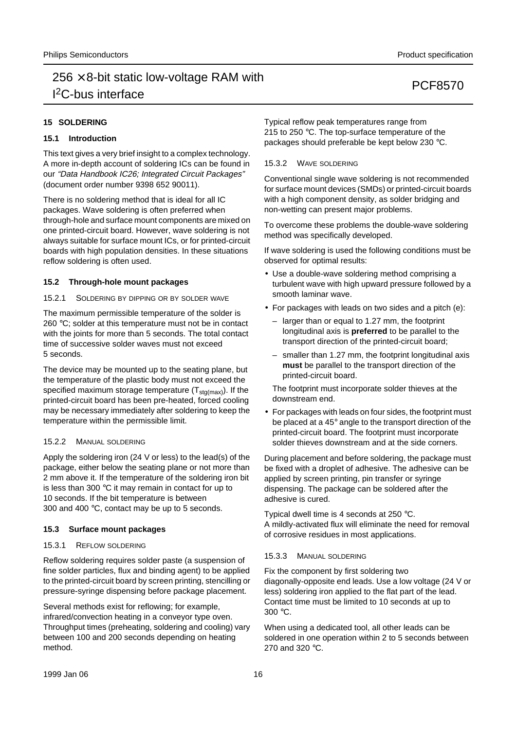### **15 SOLDERING**

### **15.1 Introduction**

This text gives a very brief insight to a complex technology. A more in-depth account of soldering ICs can be found in our "Data Handbook IC26; Integrated Circuit Packages" (document order number 9398 652 90011).

There is no soldering method that is ideal for all IC packages. Wave soldering is often preferred when through-hole and surface mount components are mixed on one printed-circuit board. However, wave soldering is not always suitable for surface mount ICs, or for printed-circuit boards with high population densities. In these situations reflow soldering is often used.

### **15.2 Through-hole mount packages**

### 15.2.1 SOLDERING BY DIPPING OR BY SOLDER WAVE

The maximum permissible temperature of the solder is 260 °C; solder at this temperature must not be in contact with the joints for more than 5 seconds. The total contact time of successive solder waves must not exceed 5 seconds.

The device may be mounted up to the seating plane, but the temperature of the plastic body must not exceed the specified maximum storage temperature  $(T_{\text{stq(max)}})$ . If the printed-circuit board has been pre-heated, forced cooling may be necessary immediately after soldering to keep the temperature within the permissible limit.

### 15.2.2 MANUAL SOLDERING

Apply the soldering iron (24 V or less) to the lead(s) of the package, either below the seating plane or not more than 2 mm above it. If the temperature of the soldering iron bit is less than 300 °C it may remain in contact for up to 10 seconds. If the bit temperature is between 300 and 400 °C, contact may be up to 5 seconds.

### **15.3 Surface mount packages**

### 15.3.1 REFLOW SOLDERING

Reflow soldering requires solder paste (a suspension of fine solder particles, flux and binding agent) to be applied to the printed-circuit board by screen printing, stencilling or pressure-syringe dispensing before package placement.

Several methods exist for reflowing; for example, infrared/convection heating in a conveyor type oven. Throughput times (preheating, soldering and cooling) vary between 100 and 200 seconds depending on heating method.

Typical reflow peak temperatures range from 215 to 250 °C. The top-surface temperature of the packages should preferable be kept below 230 °C.

### 15.3.2 WAVE SOLDERING

Conventional single wave soldering is not recommended for surface mount devices (SMDs) or printed-circuit boards with a high component density, as solder bridging and non-wetting can present major problems.

To overcome these problems the double-wave soldering method was specifically developed.

If wave soldering is used the following conditions must be observed for optimal results:

- Use a double-wave soldering method comprising a turbulent wave with high upward pressure followed by a smooth laminar wave.
- For packages with leads on two sides and a pitch (e):
	- larger than or equal to 1.27 mm, the footprint longitudinal axis is **preferred** to be parallel to the transport direction of the printed-circuit board;
	- smaller than 1.27 mm, the footprint longitudinal axis **must** be parallel to the transport direction of the printed-circuit board.

The footprint must incorporate solder thieves at the downstream end.

• For packages with leads on four sides, the footprint must be placed at a 45° angle to the transport direction of the printed-circuit board. The footprint must incorporate solder thieves downstream and at the side corners.

During placement and before soldering, the package must be fixed with a droplet of adhesive. The adhesive can be applied by screen printing, pin transfer or syringe dispensing. The package can be soldered after the adhesive is cured.

Typical dwell time is 4 seconds at 250 °C. A mildly-activated flux will eliminate the need for removal of corrosive residues in most applications.

### 15.3.3 MANUAL SOLDERING

Fix the component by first soldering two diagonally-opposite end leads. Use a low voltage (24 V or less) soldering iron applied to the flat part of the lead. Contact time must be limited to 10 seconds at up to 300 °C.

When using a dedicated tool, all other leads can be soldered in one operation within 2 to 5 seconds between 270 and 320 °C.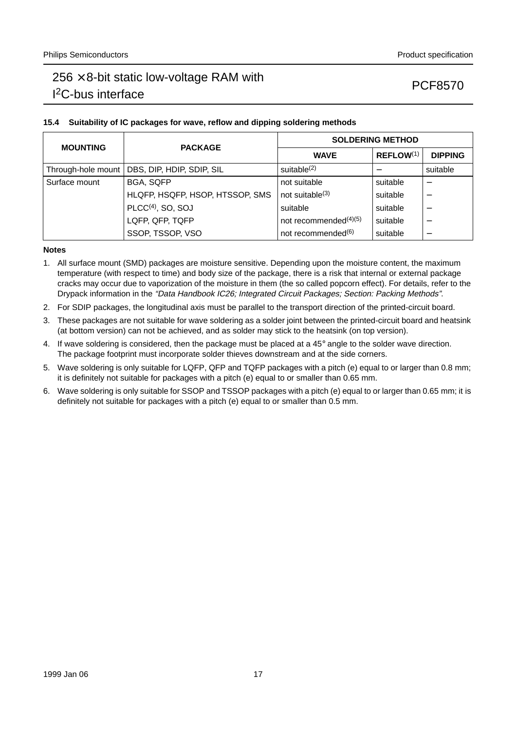## **15.4 Suitability of IC packages for wave, reflow and dipping soldering methods**

| <b>MOUNTING</b>    | <b>PACKAGE</b>                  | <b>SOLDERING METHOD</b>           |                       |                |  |
|--------------------|---------------------------------|-----------------------------------|-----------------------|----------------|--|
|                    |                                 | <b>WAVE</b>                       | REFLOW <sup>(1)</sup> | <b>DIPPING</b> |  |
| Through-hole mount | DBS, DIP, HDIP, SDIP, SIL       | suitable $(2)$                    |                       | suitable       |  |
| Surface mount      | <b>BGA, SQFP</b>                | not suitable                      | suitable              |                |  |
|                    | HLQFP, HSQFP, HSOP, HTSSOP, SMS | not suitable <sup>(3)</sup>       | suitable              |                |  |
|                    | $PLCC(4)$ , SO, SOJ             | suitable                          | suitable              |                |  |
|                    | LQFP, QFP, TQFP                 | not recommended <sup>(4)(5)</sup> | suitable              |                |  |
|                    | SSOP, TSSOP, VSO                | not recommended <sup>(6)</sup>    | suitable              |                |  |

### **Notes**

- 1. All surface mount (SMD) packages are moisture sensitive. Depending upon the moisture content, the maximum temperature (with respect to time) and body size of the package, there is a risk that internal or external package cracks may occur due to vaporization of the moisture in them (the so called popcorn effect). For details, refer to the Drypack information in the "Data Handbook IC26; Integrated Circuit Packages; Section: Packing Methods".
- 2. For SDIP packages, the longitudinal axis must be parallel to the transport direction of the printed-circuit board.
- 3. These packages are not suitable for wave soldering as a solder joint between the printed-circuit board and heatsink (at bottom version) can not be achieved, and as solder may stick to the heatsink (on top version).
- 4. If wave soldering is considered, then the package must be placed at a  $45^\circ$  angle to the solder wave direction. The package footprint must incorporate solder thieves downstream and at the side corners.
- 5. Wave soldering is only suitable for LQFP, QFP and TQFP packages with a pitch (e) equal to or larger than 0.8 mm; it is definitely not suitable for packages with a pitch (e) equal to or smaller than 0.65 mm.
- 6. Wave soldering is only suitable for SSOP and TSSOP packages with a pitch (e) equal to or larger than 0.65 mm; it is definitely not suitable for packages with a pitch (e) equal to or smaller than 0.5 mm.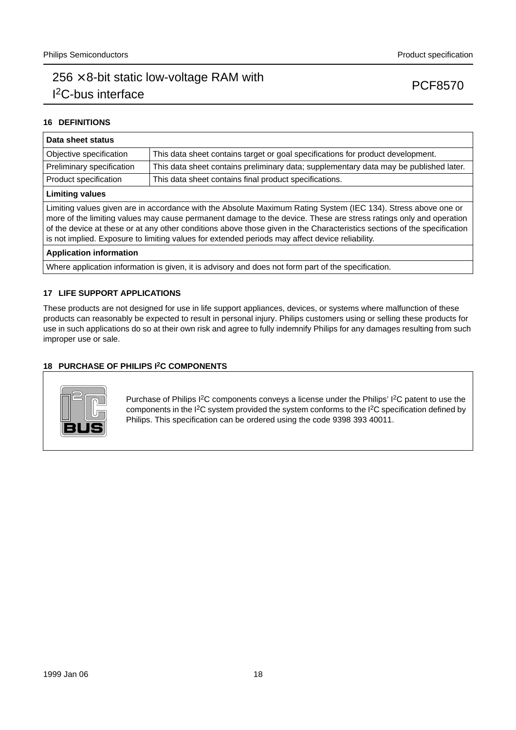## **16 DEFINITIONS**

| Data sheet status                                                                                                                                                                                                                                                                                                                                                                                                                                                  |                                                                                       |  |  |  |  |
|--------------------------------------------------------------------------------------------------------------------------------------------------------------------------------------------------------------------------------------------------------------------------------------------------------------------------------------------------------------------------------------------------------------------------------------------------------------------|---------------------------------------------------------------------------------------|--|--|--|--|
| Objective specification                                                                                                                                                                                                                                                                                                                                                                                                                                            | This data sheet contains target or goal specifications for product development.       |  |  |  |  |
| Preliminary specification                                                                                                                                                                                                                                                                                                                                                                                                                                          | This data sheet contains preliminary data; supplementary data may be published later. |  |  |  |  |
| Product specification                                                                                                                                                                                                                                                                                                                                                                                                                                              | This data sheet contains final product specifications.                                |  |  |  |  |
| <b>Limiting values</b>                                                                                                                                                                                                                                                                                                                                                                                                                                             |                                                                                       |  |  |  |  |
| Limiting values given are in accordance with the Absolute Maximum Rating System (IEC 134). Stress above one or<br>more of the limiting values may cause permanent damage to the device. These are stress ratings only and operation<br>of the device at these or at any other conditions above those given in the Characteristics sections of the specification<br>is not implied. Exposure to limiting values for extended periods may affect device reliability. |                                                                                       |  |  |  |  |
| <b>Application information</b>                                                                                                                                                                                                                                                                                                                                                                                                                                     |                                                                                       |  |  |  |  |
| Where application information is given, it is advisory and does not form part of the specification.                                                                                                                                                                                                                                                                                                                                                                |                                                                                       |  |  |  |  |

### **17 LIFE SUPPORT APPLICATIONS**

These products are not designed for use in life support appliances, devices, or systems where malfunction of these products can reasonably be expected to result in personal injury. Philips customers using or selling these products for use in such applications do so at their own risk and agree to fully indemnify Philips for any damages resulting from such improper use or sale.

### **18 PURCHASE OF PHILIPS I2C COMPONENTS**



Purchase of Philips I2C components conveys a license under the Philips' I2C patent to use the components in the I<sup>2</sup>C system provided the system conforms to the I<sup>2</sup>C specification defined by Philips. This specification can be ordered using the code 9398 393 40011.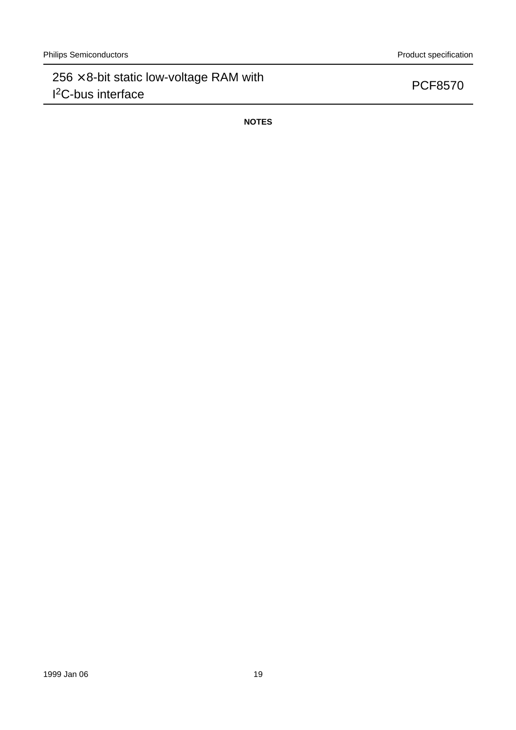**NOTES**